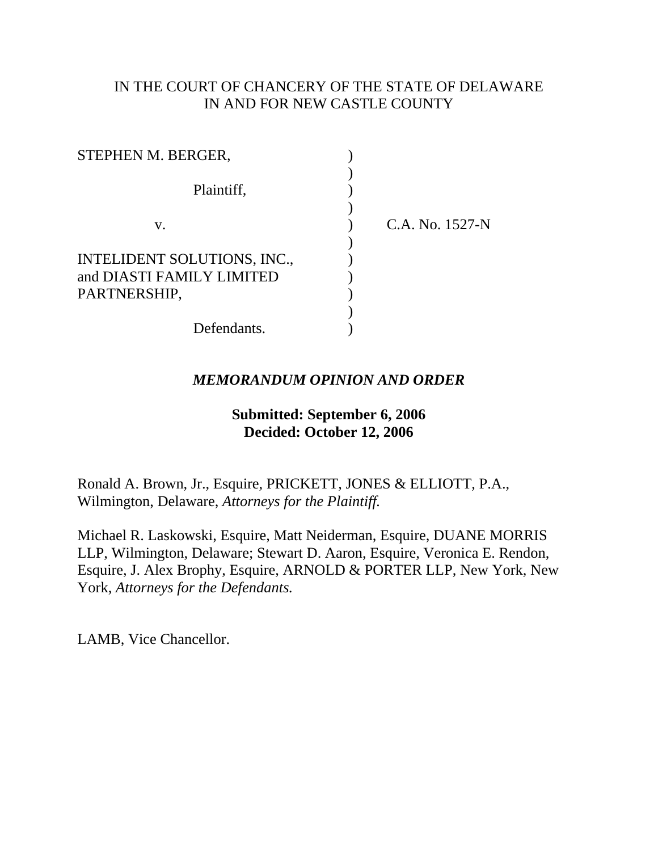# IN THE COURT OF CHANCERY OF THE STATE OF DELAWARE IN AND FOR NEW CASTLE COUNTY

| STEPHEN M. BERGER,                                       |                 |
|----------------------------------------------------------|-----------------|
| Plaintiff,                                               |                 |
| V.                                                       | C.A. No. 1527-N |
|                                                          |                 |
| INTELIDENT SOLUTIONS, INC.,<br>and DIASTI FAMILY LIMITED |                 |
| PARTNERSHIP,                                             |                 |
| Defendants.                                              |                 |

# *MEMORANDUM OPINION AND ORDER*

## **Submitted: September 6, 2006 Decided: October 12, 2006**

Ronald A. Brown, Jr., Esquire, PRICKETT, JONES & ELLIOTT, P.A., Wilmington, Delaware, *Attorneys for the Plaintiff.*

Michael R. Laskowski, Esquire, Matt Neiderman, Esquire, DUANE MORRIS LLP, Wilmington, Delaware; Stewart D. Aaron, Esquire, Veronica E. Rendon, Esquire, J. Alex Brophy, Esquire, ARNOLD & PORTER LLP, New York, New York, *Attorneys for the Defendants.*

LAMB, Vice Chancellor.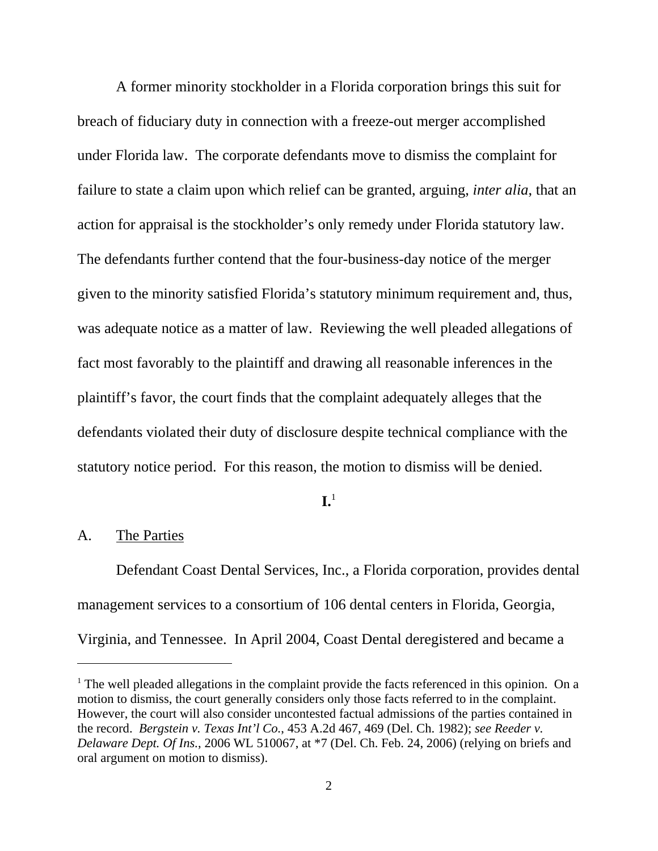A former minority stockholder in a Florida corporation brings this suit for breach of fiduciary duty in connection with a freeze-out merger accomplished under Florida law. The corporate defendants move to dismiss the complaint for failure to state a claim upon which relief can be granted, arguing, *inter alia*, that an action for appraisal is the stockholder's only remedy under Florida statutory law. The defendants further contend that the four-business-day notice of the merger given to the minority satisfied Florida's statutory minimum requirement and, thus, was adequate notice as a matter of law. Reviewing the well pleaded allegations of fact most favorably to the plaintiff and drawing all reasonable inferences in the plaintiff's favor, the court finds that the complaint adequately alleges that the defendants violated their duty of disclosure despite technical compliance with the statutory notice period. For this reason, the motion to dismiss will be denied.

### **I.**1

#### A. The Parties

Defendant Coast Dental Services, Inc., a Florida corporation, provides dental management services to a consortium of 106 dental centers in Florida, Georgia, Virginia, and Tennessee. In April 2004, Coast Dental deregistered and became a

<sup>&</sup>lt;sup>1</sup> The well pleaded allegations in the complaint provide the facts referenced in this opinion. On a motion to dismiss, the court generally considers only those facts referred to in the complaint. However, the court will also consider uncontested factual admissions of the parties contained in the record. *Bergstein v. Texas Int'l Co.*, 453 A.2d 467, 469 (Del. Ch. 1982); *see Reeder v. Delaware Dept. Of Ins.*, 2006 WL 510067, at \*7 (Del. Ch. Feb. 24, 2006) (relying on briefs and oral argument on motion to dismiss).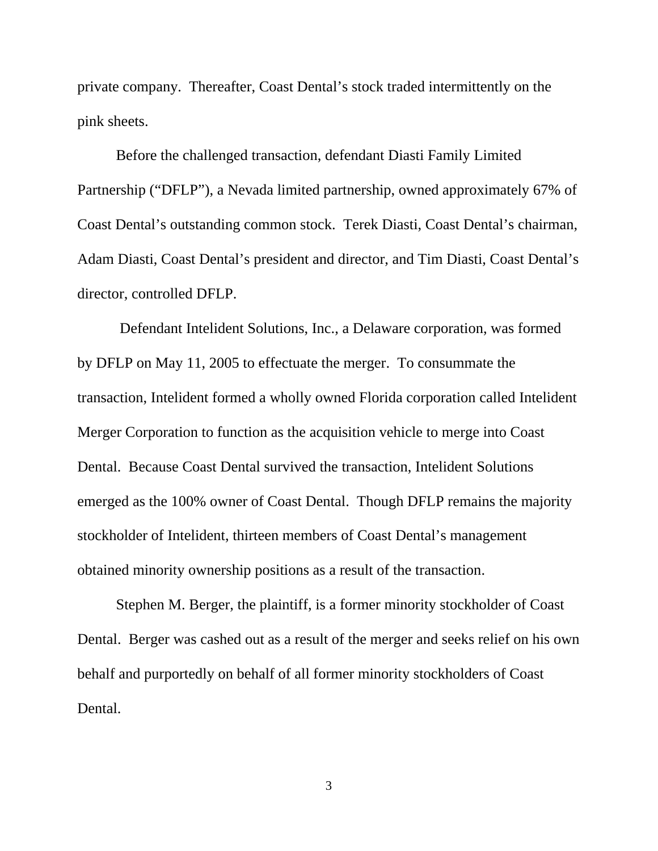private company. Thereafter, Coast Dental's stock traded intermittently on the pink sheets.

Before the challenged transaction, defendant Diasti Family Limited Partnership ("DFLP"), a Nevada limited partnership, owned approximately 67% of Coast Dental's outstanding common stock. Terek Diasti, Coast Dental's chairman, Adam Diasti, Coast Dental's president and director, and Tim Diasti, Coast Dental's director, controlled DFLP.

 Defendant Intelident Solutions, Inc., a Delaware corporation, was formed by DFLP on May 11, 2005 to effectuate the merger. To consummate the transaction, Intelident formed a wholly owned Florida corporation called Intelident Merger Corporation to function as the acquisition vehicle to merge into Coast Dental. Because Coast Dental survived the transaction, Intelident Solutions emerged as the 100% owner of Coast Dental. Though DFLP remains the majority stockholder of Intelident, thirteen members of Coast Dental's management obtained minority ownership positions as a result of the transaction.

Stephen M. Berger, the plaintiff, is a former minority stockholder of Coast Dental. Berger was cashed out as a result of the merger and seeks relief on his own behalf and purportedly on behalf of all former minority stockholders of Coast Dental.

3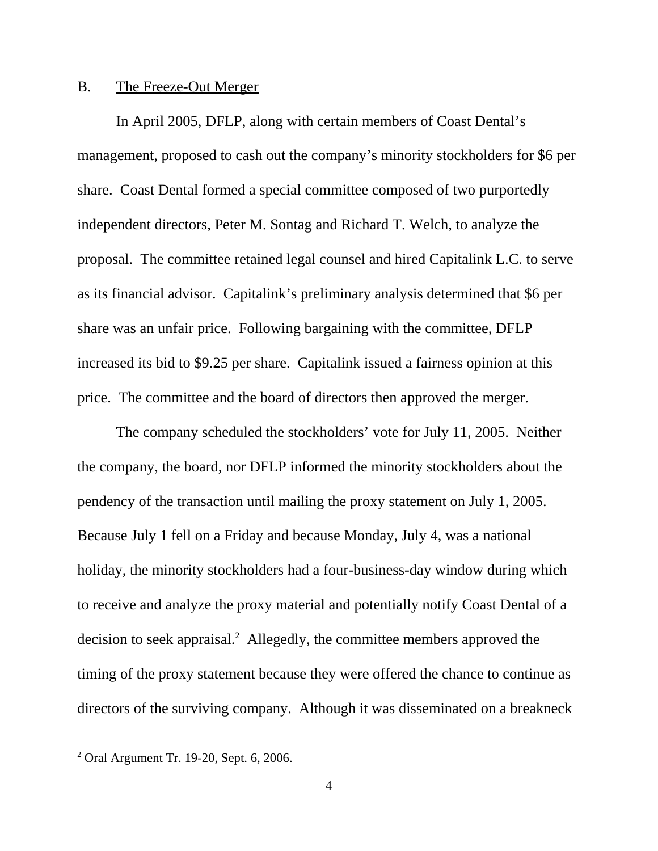### B. The Freeze-Out Merger

In April 2005, DFLP, along with certain members of Coast Dental's management, proposed to cash out the company's minority stockholders for \$6 per share. Coast Dental formed a special committee composed of two purportedly independent directors, Peter M. Sontag and Richard T. Welch, to analyze the proposal. The committee retained legal counsel and hired Capitalink L.C. to serve as its financial advisor. Capitalink's preliminary analysis determined that \$6 per share was an unfair price. Following bargaining with the committee, DFLP increased its bid to \$9.25 per share. Capitalink issued a fairness opinion at this price. The committee and the board of directors then approved the merger.

The company scheduled the stockholders' vote for July 11, 2005. Neither the company, the board, nor DFLP informed the minority stockholders about the pendency of the transaction until mailing the proxy statement on July 1, 2005. Because July 1 fell on a Friday and because Monday, July 4, was a national holiday, the minority stockholders had a four-business-day window during which to receive and analyze the proxy material and potentially notify Coast Dental of a decision to seek appraisal.<sup>2</sup> Allegedly, the committee members approved the timing of the proxy statement because they were offered the chance to continue as directors of the surviving company. Although it was disseminated on a breakneck

<sup>2</sup> Oral Argument Tr. 19-20, Sept. 6, 2006.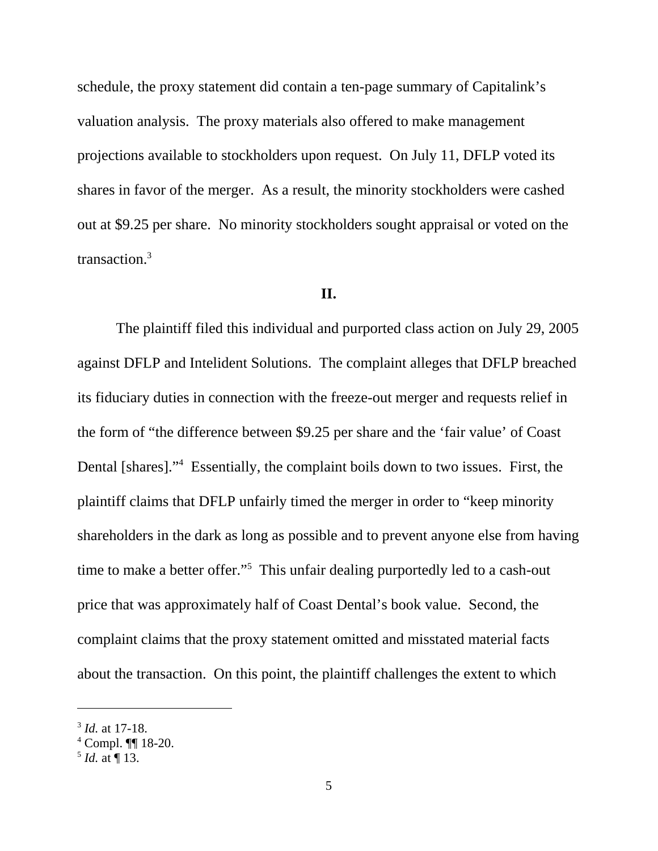schedule, the proxy statement did contain a ten-page summary of Capitalink's valuation analysis. The proxy materials also offered to make management projections available to stockholders upon request. On July 11, DFLP voted its shares in favor of the merger. As a result, the minority stockholders were cashed out at \$9.25 per share. No minority stockholders sought appraisal or voted on the transaction.3

#### **II.**

The plaintiff filed this individual and purported class action on July 29, 2005 against DFLP and Intelident Solutions. The complaint alleges that DFLP breached its fiduciary duties in connection with the freeze-out merger and requests relief in the form of "the difference between \$9.25 per share and the 'fair value' of Coast Dental [shares]."<sup>4</sup> Essentially, the complaint boils down to two issues. First, the plaintiff claims that DFLP unfairly timed the merger in order to "keep minority shareholders in the dark as long as possible and to prevent anyone else from having time to make a better offer."<sup>5</sup> This unfair dealing purportedly led to a cash-out price that was approximately half of Coast Dental's book value. Second, the complaint claims that the proxy statement omitted and misstated material facts about the transaction. On this point, the plaintiff challenges the extent to which

<sup>3</sup> *Id.* at 17-18.

<sup>4</sup> Compl. ¶¶ 18-20.

 $<sup>5</sup>$  *Id.* at  $\P$  13.</sup>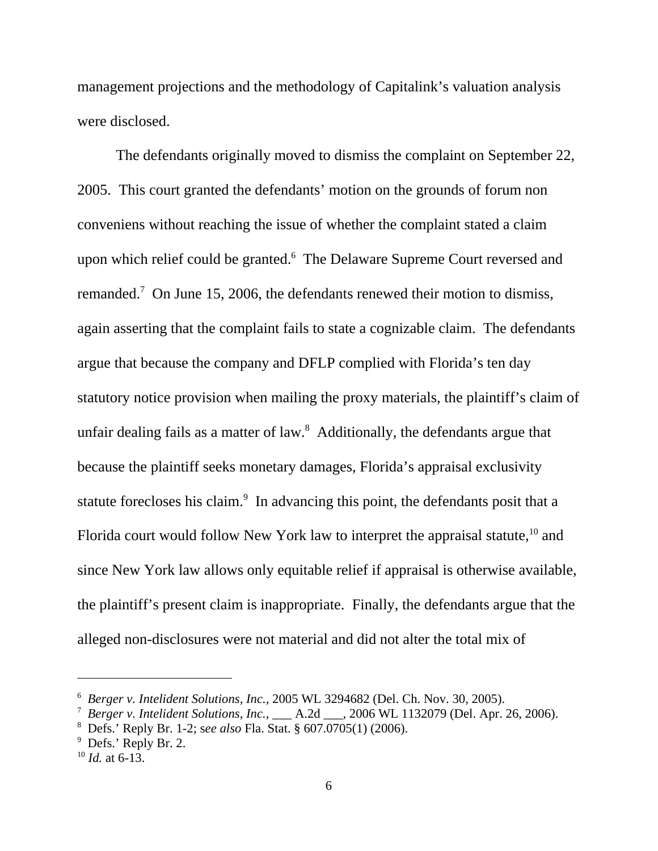management projections and the methodology of Capitalink's valuation analysis were disclosed.

The defendants originally moved to dismiss the complaint on September 22, 2005. This court granted the defendants' motion on the grounds of forum non conveniens without reaching the issue of whether the complaint stated a claim upon which relief could be granted.<sup>6</sup> The Delaware Supreme Court reversed and remanded.<sup>7</sup> On June 15, 2006, the defendants renewed their motion to dismiss, again asserting that the complaint fails to state a cognizable claim. The defendants argue that because the company and DFLP complied with Florida's ten day statutory notice provision when mailing the proxy materials, the plaintiff's claim of unfair dealing fails as a matter of law.<sup>8</sup> Additionally, the defendants argue that because the plaintiff seeks monetary damages, Florida's appraisal exclusivity statute forecloses his claim.<sup>9</sup> In advancing this point, the defendants posit that a Florida court would follow New York law to interpret the appraisal statute,  $^{10}$  and since New York law allows only equitable relief if appraisal is otherwise available, the plaintiff's present claim is inappropriate. Finally, the defendants argue that the alleged non-disclosures were not material and did not alter the total mix of

<sup>6</sup> *Berger v. Intelident Solutions, Inc.*, 2005 WL 3294682 (Del. Ch. Nov. 30, 2005).

<sup>&</sup>lt;sup>7</sup> Berger v. Intelident Solutions, Inc., \_\_\_ A.2d \_\_\_, 2006 WL 1132079 (Del. Apr. 26, 2006).

<sup>8</sup> Defs.' Reply Br. 1-2; s*ee also* Fla. Stat. § 607.0705(1) (2006).

<sup>&</sup>lt;sup>9</sup> Defs.' Reply Br. 2.

 $^{10}$  *Id.* at 6-13.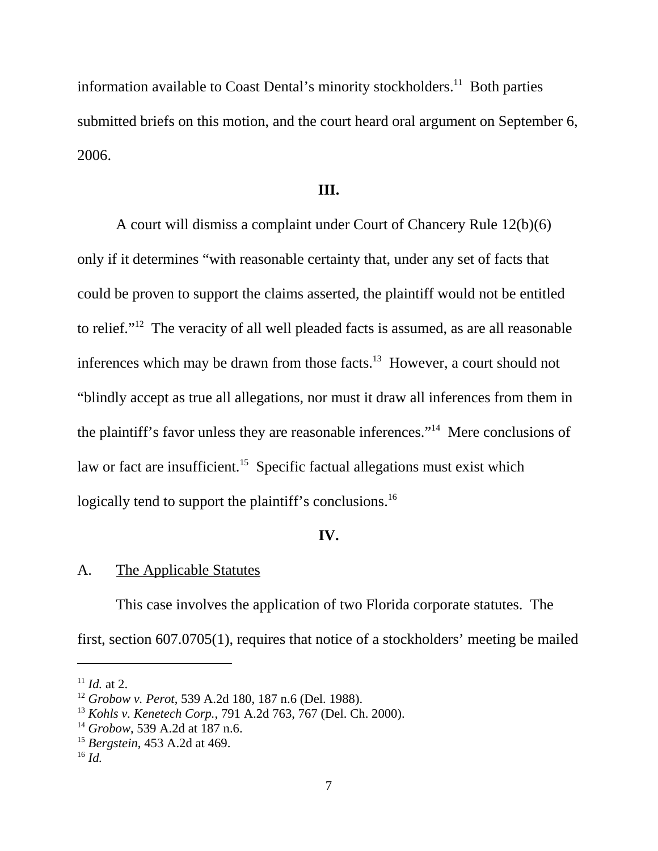information available to Coast Dental's minority stockholders.<sup>11</sup> Both parties submitted briefs on this motion, and the court heard oral argument on September 6, 2006.

#### **III.**

A court will dismiss a complaint under Court of Chancery Rule 12(b)(6) only if it determines "with reasonable certainty that, under any set of facts that could be proven to support the claims asserted, the plaintiff would not be entitled to relief."12 The veracity of all well pleaded facts is assumed, as are all reasonable inferences which may be drawn from those facts.<sup>13</sup> However, a court should not "blindly accept as true all allegations, nor must it draw all inferences from them in the plaintiff's favor unless they are reasonable inferences."14 Mere conclusions of law or fact are insufficient.<sup>15</sup> Specific factual allegations must exist which logically tend to support the plaintiff's conclusions.<sup>16</sup>

#### **IV.**

#### A. The Applicable Statutes

This case involves the application of two Florida corporate statutes. The first, section 607.0705(1), requires that notice of a stockholders' meeting be mailed

 $11$  *Id.* at 2.

<sup>12</sup> *Grobow v. Perot*, 539 A.2d 180, 187 n.6 (Del. 1988).

<sup>13</sup> *Kohls v. Kenetech Corp.*, 791 A.2d 763, 767 (Del. Ch. 2000).

<sup>14</sup> *Grobow*, 539 A.2d at 187 n.6.

<sup>15</sup> *Bergstein*, 453 A.2d at 469.

<sup>16</sup> *Id.*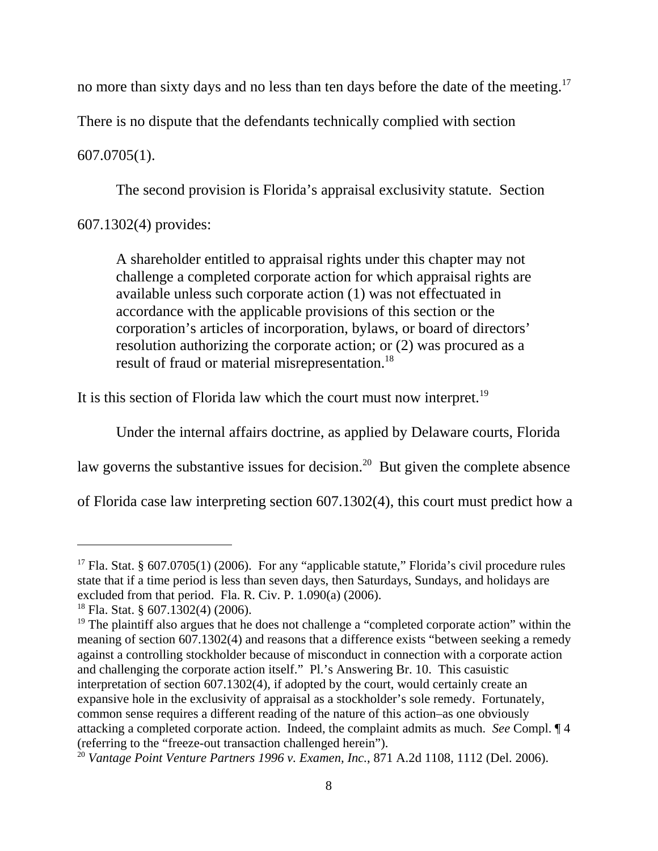no more than sixty days and no less than ten days before the date of the meeting.<sup>17</sup>

There is no dispute that the defendants technically complied with section

# 607.0705(1).

The second provision is Florida's appraisal exclusivity statute. Section

607.1302(4) provides:

A shareholder entitled to appraisal rights under this chapter may not challenge a completed corporate action for which appraisal rights are available unless such corporate action (1) was not effectuated in accordance with the applicable provisions of this section or the corporation's articles of incorporation, bylaws, or board of directors' resolution authorizing the corporate action; or (2) was procured as a result of fraud or material misrepresentation.<sup>18</sup>

It is this section of Florida law which the court must now interpret.<sup>19</sup>

Under the internal affairs doctrine, as applied by Delaware courts, Florida

law governs the substantive issues for decision.<sup>20</sup> But given the complete absence

of Florida case law interpreting section 607.1302(4), this court must predict how a

<sup>&</sup>lt;sup>17</sup> Fla. Stat. § 607.0705(1) (2006). For any "applicable statute," Florida's civil procedure rules state that if a time period is less than seven days, then Saturdays, Sundays, and holidays are excluded from that period. Fla. R. Civ. P. 1.090(a) (2006).

 $18$  Fla. Stat. § 607.1302(4) (2006).

<sup>&</sup>lt;sup>19</sup> The plaintiff also argues that he does not challenge a "completed corporate action" within the meaning of section 607.1302(4) and reasons that a difference exists "between seeking a remedy against a controlling stockholder because of misconduct in connection with a corporate action and challenging the corporate action itself." Pl.'s Answering Br. 10. This casuistic interpretation of section 607.1302(4), if adopted by the court, would certainly create an expansive hole in the exclusivity of appraisal as a stockholder's sole remedy. Fortunately, common sense requires a different reading of the nature of this action–as one obviously attacking a completed corporate action. Indeed, the complaint admits as much. *See* Compl. ¶ 4 (referring to the "freeze-out transaction challenged herein").

<sup>20</sup> *Vantage Point Venture Partners 1996 v. Examen, Inc.*, 871 A.2d 1108, 1112 (Del. 2006).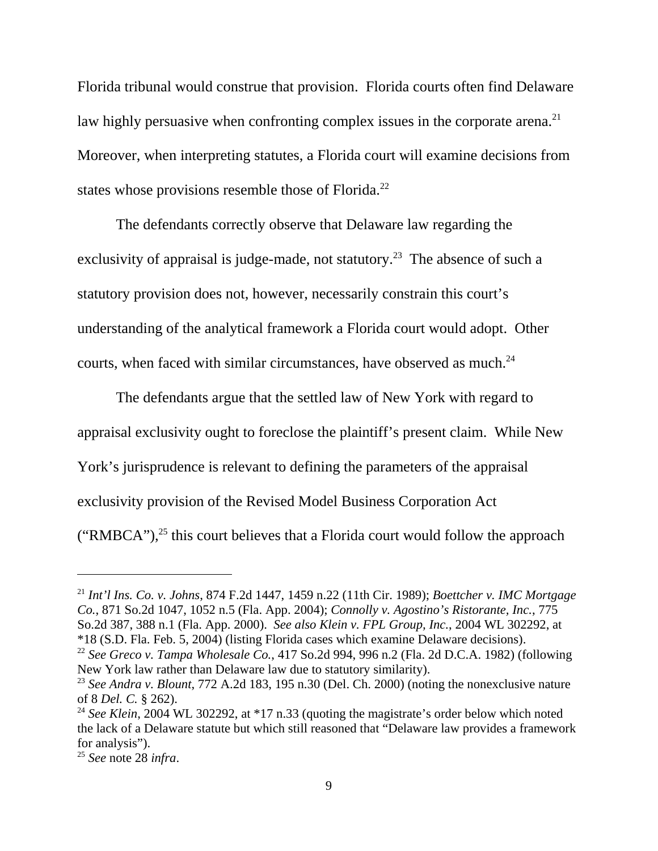Florida tribunal would construe that provision. Florida courts often find Delaware law highly persuasive when confronting complex issues in the corporate arena.<sup>21</sup> Moreover, when interpreting statutes, a Florida court will examine decisions from states whose provisions resemble those of Florida.<sup>22</sup>

The defendants correctly observe that Delaware law regarding the exclusivity of appraisal is judge-made, not statutory.<sup>23</sup> The absence of such a statutory provision does not, however, necessarily constrain this court's understanding of the analytical framework a Florida court would adopt. Other courts, when faced with similar circumstances, have observed as much.<sup>24</sup>

The defendants argue that the settled law of New York with regard to appraisal exclusivity ought to foreclose the plaintiff's present claim. While New York's jurisprudence is relevant to defining the parameters of the appraisal exclusivity provision of the Revised Model Business Corporation Act ("RMBCA"), $^{25}$  this court believes that a Florida court would follow the approach

<sup>21</sup> *Int'l Ins. Co. v. Johns*, 874 F.2d 1447, 1459 n.22 (11th Cir. 1989); *Boettcher v. IMC Mortgage Co.*, 871 So.2d 1047, 1052 n.5 (Fla. App. 2004); *Connolly v. Agostino's Ristorante, Inc.*, 775 So.2d 387, 388 n.1 (Fla. App. 2000). *See also Klein v. FPL Group, Inc.*, 2004 WL 302292, at \*18 (S.D. Fla. Feb. 5, 2004) (listing Florida cases which examine Delaware decisions).

<sup>22</sup> *See Greco v. Tampa Wholesale Co.*, 417 So.2d 994, 996 n.2 (Fla. 2d D.C.A. 1982) (following New York law rather than Delaware law due to statutory similarity).

<sup>23</sup> *See Andra v. Blount*, 772 A.2d 183, 195 n.30 (Del. Ch. 2000) (noting the nonexclusive nature of 8 *Del. C.* § 262).

<sup>&</sup>lt;sup>24</sup> See Klein, 2004 WL 302292, at \*17 n.33 (quoting the magistrate's order below which noted the lack of a Delaware statute but which still reasoned that "Delaware law provides a framework for analysis").

<sup>25</sup> *See* note 28 *infra*.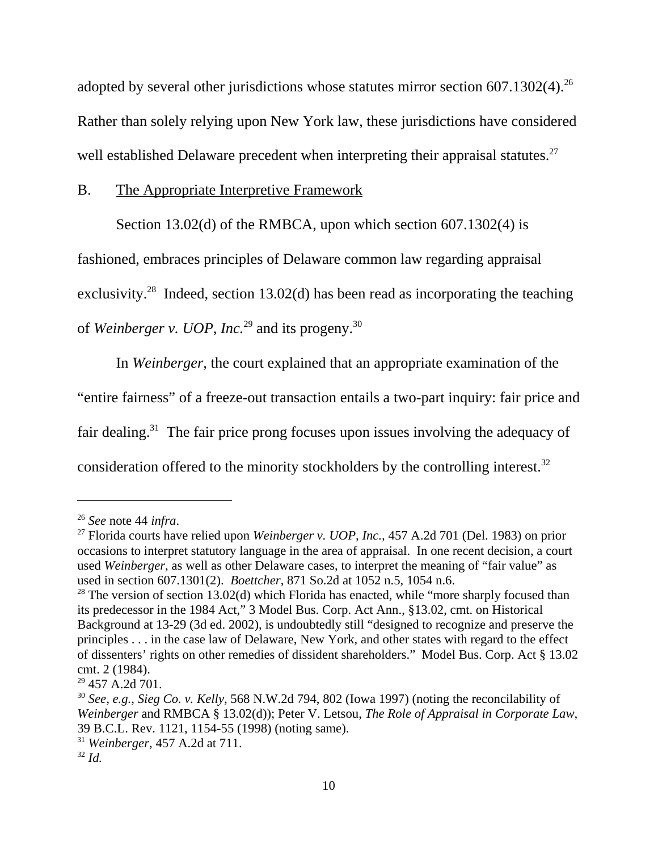adopted by several other jurisdictions whose statutes mirror section  $607.1302(4).^{26}$ Rather than solely relying upon New York law, these jurisdictions have considered well established Delaware precedent when interpreting their appraisal statutes.<sup>27</sup>

### B. The Appropriate Interpretive Framework

Section 13.02(d) of the RMBCA, upon which section 607.1302(4) is

fashioned, embraces principles of Delaware common law regarding appraisal

exclusivity.<sup>28</sup> Indeed, section 13.02(d) has been read as incorporating the teaching

of *Weinberger v. UOP, Inc.*29 and its progeny.30

In *Weinberger*, the court explained that an appropriate examination of the

"entire fairness" of a freeze-out transaction entails a two-part inquiry: fair price and

fair dealing.31 The fair price prong focuses upon issues involving the adequacy of

consideration offered to the minority stockholders by the controlling interest.<sup>32</sup>

<sup>26</sup> *See* note 44 *infra*.

<sup>27</sup> Florida courts have relied upon *Weinberger v. UOP, Inc.,* 457 A.2d 701 (Del. 1983) on prior occasions to interpret statutory language in the area of appraisal. In one recent decision, a court used *Weinberger*, as well as other Delaware cases, to interpret the meaning of "fair value" as used in section 607.1301(2). *Boettcher*, 871 So.2d at 1052 n.5, 1054 n.6.

 $28$  The version of section 13.02(d) which Florida has enacted, while "more sharply focused than its predecessor in the 1984 Act," 3 Model Bus. Corp. Act Ann., §13.02, cmt. on Historical Background at 13-29 (3d ed. 2002), is undoubtedly still "designed to recognize and preserve the principles . . . in the case law of Delaware, New York, and other states with regard to the effect of dissenters' rights on other remedies of dissident shareholders." Model Bus. Corp. Act § 13.02 cmt. 2 (1984).

<sup>29 457</sup> A.2d 701.

<sup>30</sup> *See, e.g.*, *Sieg Co. v. Kelly*, 568 N.W.2d 794, 802 (Iowa 1997) (noting the reconcilability of *Weinberger* and RMBCA § 13.02(d)); Peter V. Letsou, *The Role of Appraisal in Corporate Law*, 39 B.C.L. Rev. 1121, 1154-55 (1998) (noting same).

<sup>31</sup> *Weinberger*, 457 A.2d at 711.

<sup>32</sup> *Id.*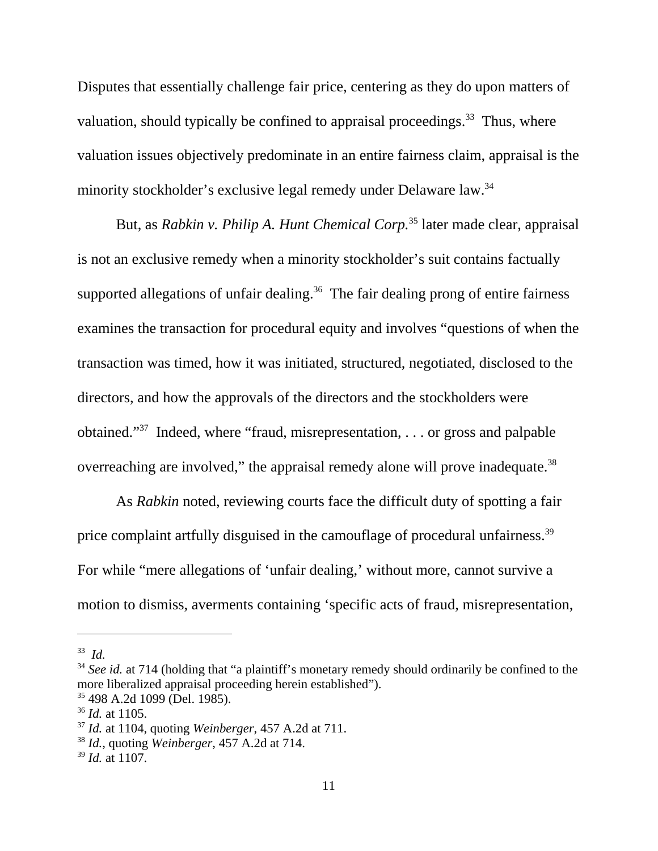Disputes that essentially challenge fair price, centering as they do upon matters of valuation, should typically be confined to appraisal proceedings.<sup>33</sup> Thus, where valuation issues objectively predominate in an entire fairness claim, appraisal is the minority stockholder's exclusive legal remedy under Delaware law.<sup>34</sup>

But, as *Rabkin v. Philip A. Hunt Chemical Corp.*35 later made clear, appraisal is not an exclusive remedy when a minority stockholder's suit contains factually supported allegations of unfair dealing.<sup>36</sup> The fair dealing prong of entire fairness examines the transaction for procedural equity and involves "questions of when the transaction was timed, how it was initiated, structured, negotiated, disclosed to the directors, and how the approvals of the directors and the stockholders were obtained."37 Indeed, where "fraud, misrepresentation, . . . or gross and palpable overreaching are involved," the appraisal remedy alone will prove inadequate.<sup>38</sup>

As *Rabkin* noted, reviewing courts face the difficult duty of spotting a fair price complaint artfully disguised in the camouflage of procedural unfairness.<sup>39</sup> For while "mere allegations of 'unfair dealing,' without more, cannot survive a motion to dismiss, averments containing 'specific acts of fraud, misrepresentation,

<sup>33</sup> *Id.*

<sup>&</sup>lt;sup>34</sup> See id. at 714 (holding that "a plaintiff's monetary remedy should ordinarily be confined to the more liberalized appraisal proceeding herein established").

<sup>35 498</sup> A.2d 1099 (Del. 1985).

<sup>36</sup> *Id.* at 1105.

<sup>37</sup> *Id.* at 1104, quoting *Weinberger*, 457 A.2d at 711.

<sup>38</sup> *Id.*, quoting *Weinberger*, 457 A.2d at 714.

<sup>39</sup> *Id.* at 1107.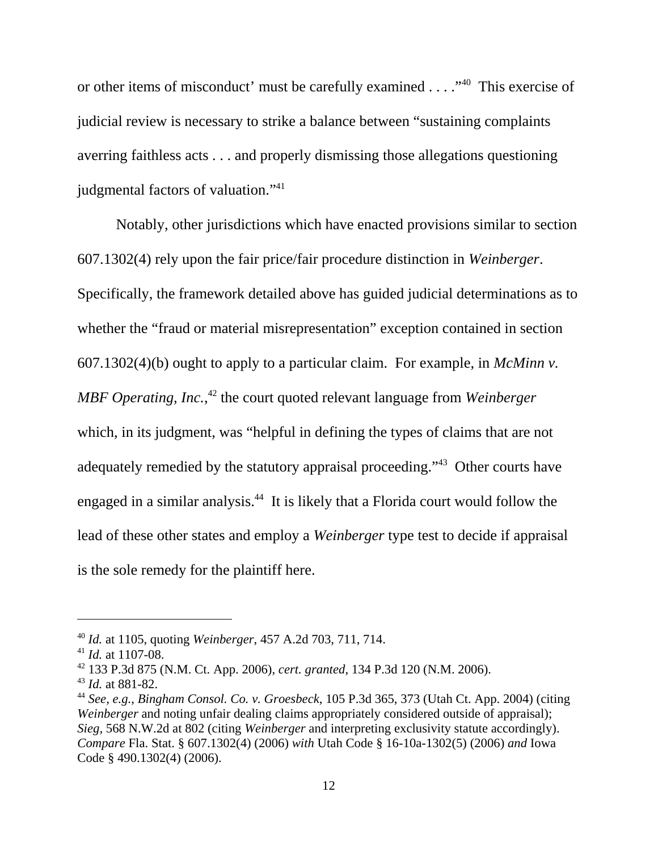or other items of misconduct' must be carefully examined . . . ."40 This exercise of judicial review is necessary to strike a balance between "sustaining complaints averring faithless acts . . . and properly dismissing those allegations questioning judgmental factors of valuation."<sup>41</sup>

Notably, other jurisdictions which have enacted provisions similar to section 607.1302(4) rely upon the fair price/fair procedure distinction in *Weinberger*. Specifically, the framework detailed above has guided judicial determinations as to whether the "fraud or material misrepresentation" exception contained in section 607.1302(4)(b) ought to apply to a particular claim. For example, in *McMinn v. MBF Operating, Inc.*, 42 the court quoted relevant language from *Weinberger* which, in its judgment, was "helpful in defining the types of claims that are not adequately remedied by the statutory appraisal proceeding."<sup>43</sup> Other courts have engaged in a similar analysis.<sup>44</sup> It is likely that a Florida court would follow the lead of these other states and employ a *Weinberger* type test to decide if appraisal is the sole remedy for the plaintiff here.

<sup>40</sup> *Id.* at 1105, quoting *Weinberger*, 457 A.2d 703, 711, 714.

<sup>41</sup> *Id.* at 1107-08.

<sup>42 133</sup> P.3d 875 (N.M. Ct. App. 2006), *cert. granted*, 134 P.3d 120 (N.M. 2006).

<sup>43</sup> *Id.* at 881-82.

<sup>44</sup> *See, e.g.*, *Bingham Consol. Co. v. Groesbeck*, 105 P.3d 365, 373 (Utah Ct. App. 2004) (citing *Weinberger* and noting unfair dealing claims appropriately considered outside of appraisal); *Sieg,* 568 N.W.2d at 802 (citing *Weinberger* and interpreting exclusivity statute accordingly). *Compare* Fla. Stat. § 607.1302(4) (2006) *with* Utah Code § 16-10a-1302(5) (2006) *and* Iowa Code § 490.1302(4) (2006).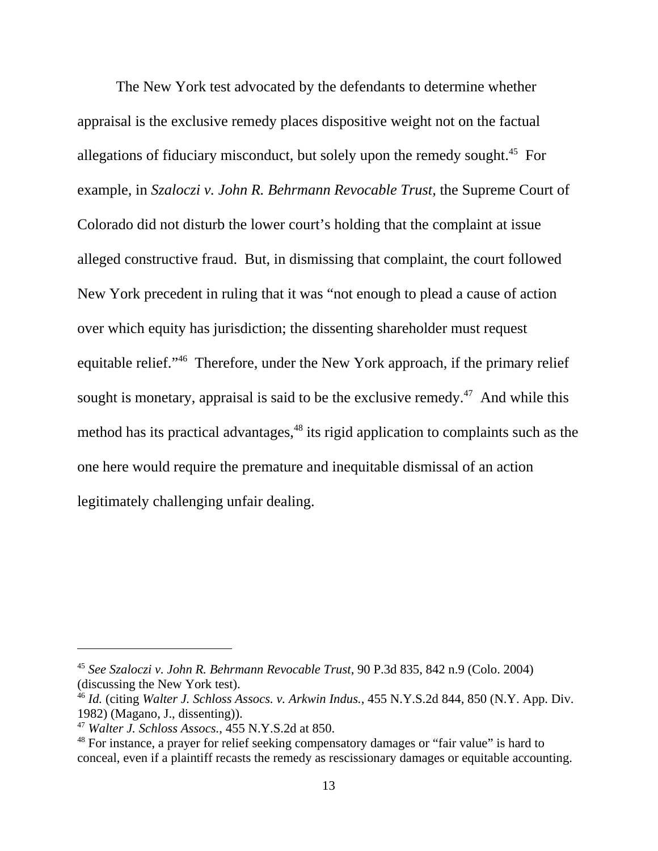The New York test advocated by the defendants to determine whether appraisal is the exclusive remedy places dispositive weight not on the factual allegations of fiduciary misconduct, but solely upon the remedy sought.<sup>45</sup> For example, in *Szaloczi v. John R. Behrmann Revocable Trust*, the Supreme Court of Colorado did not disturb the lower court's holding that the complaint at issue alleged constructive fraud. But, in dismissing that complaint, the court followed New York precedent in ruling that it was "not enough to plead a cause of action over which equity has jurisdiction; the dissenting shareholder must request equitable relief."46 Therefore, under the New York approach, if the primary relief sought is monetary, appraisal is said to be the exclusive remedy.<sup>47</sup> And while this method has its practical advantages,<sup>48</sup> its rigid application to complaints such as the one here would require the premature and inequitable dismissal of an action legitimately challenging unfair dealing.

<sup>45</sup> *See Szaloczi v. John R. Behrmann Revocable Trust*, 90 P.3d 835, 842 n.9 (Colo. 2004) (discussing the New York test).

<sup>46</sup> *Id.* (citing *Walter J. Schloss Assocs. v. Arkwin Indus.*, 455 N.Y.S.2d 844, 850 (N.Y. App. Div. 1982) (Magano, J., dissenting)).

<sup>47</sup> *Walter J. Schloss Assocs.*, 455 N.Y.S.2d at 850.

<sup>&</sup>lt;sup>48</sup> For instance, a prayer for relief seeking compensatory damages or "fair value" is hard to conceal, even if a plaintiff recasts the remedy as rescissionary damages or equitable accounting.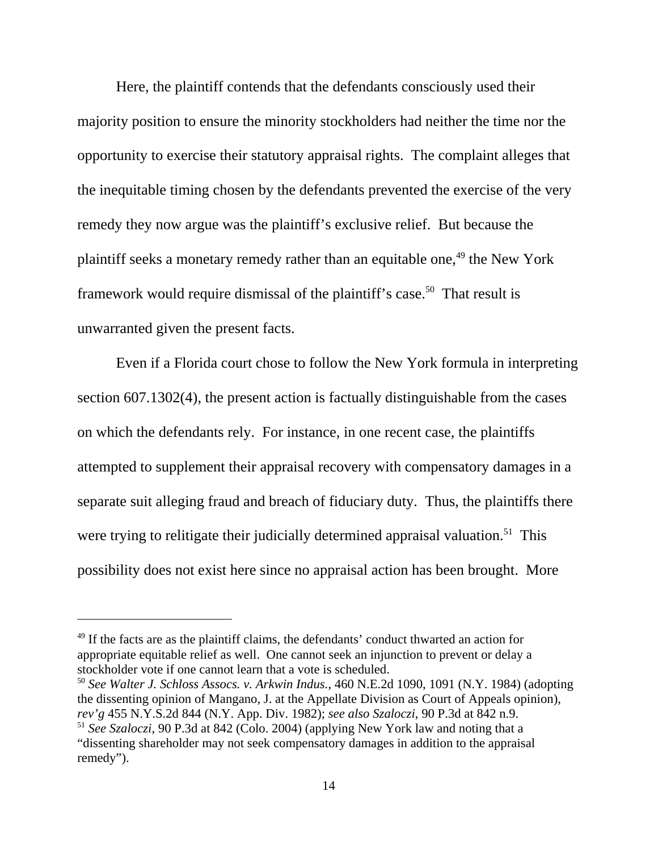Here, the plaintiff contends that the defendants consciously used their majority position to ensure the minority stockholders had neither the time nor the opportunity to exercise their statutory appraisal rights. The complaint alleges that the inequitable timing chosen by the defendants prevented the exercise of the very remedy they now argue was the plaintiff's exclusive relief. But because the plaintiff seeks a monetary remedy rather than an equitable one,  $49$  the New York framework would require dismissal of the plaintiff's case.<sup>50</sup> That result is unwarranted given the present facts.

Even if a Florida court chose to follow the New York formula in interpreting section 607.1302(4), the present action is factually distinguishable from the cases on which the defendants rely. For instance, in one recent case, the plaintiffs attempted to supplement their appraisal recovery with compensatory damages in a separate suit alleging fraud and breach of fiduciary duty. Thus, the plaintiffs there were trying to relitigate their judicially determined appraisal valuation.<sup>51</sup> This possibility does not exist here since no appraisal action has been brought. More

<sup>&</sup>lt;sup>49</sup> If the facts are as the plaintiff claims, the defendants' conduct thwarted an action for appropriate equitable relief as well. One cannot seek an injunction to prevent or delay a stockholder vote if one cannot learn that a vote is scheduled.

<sup>50</sup> *See Walter J. Schloss Assocs. v. Arkwin Indus.*, 460 N.E.2d 1090, 1091 (N.Y. 1984) (adopting the dissenting opinion of Mangano, J. at the Appellate Division as Court of Appeals opinion), *rev'g* 455 N.Y.S.2d 844 (N.Y. App. Div. 1982); *see also Szaloczi*, 90 P.3d at 842 n.9. <sup>51</sup> *See Szaloczi*, 90 P.3d at 842 (Colo. 2004) (applying New York law and noting that a "dissenting shareholder may not seek compensatory damages in addition to the appraisal remedy").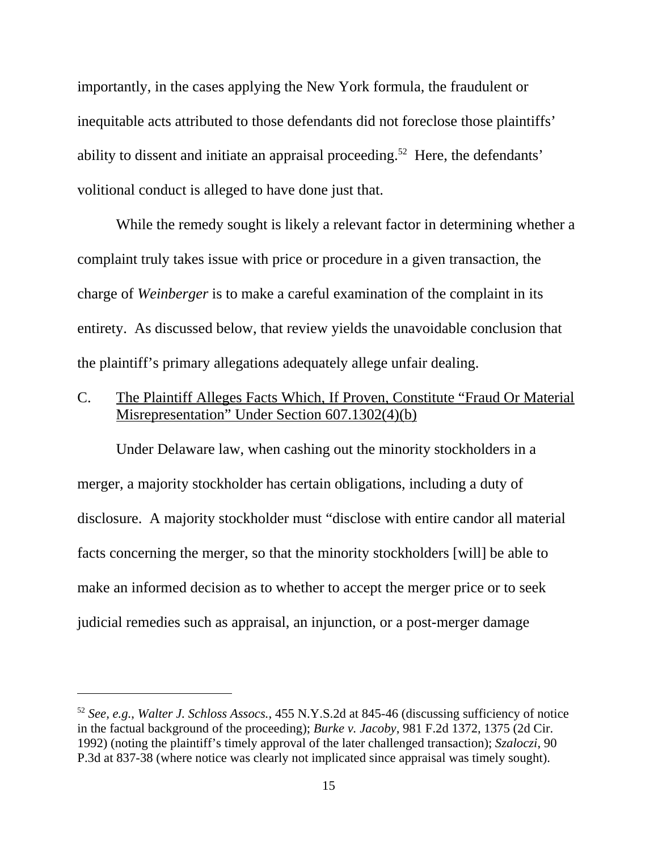importantly, in the cases applying the New York formula, the fraudulent or inequitable acts attributed to those defendants did not foreclose those plaintiffs' ability to dissent and initiate an appraisal proceeding.<sup>52</sup> Here, the defendants' volitional conduct is alleged to have done just that.

While the remedy sought is likely a relevant factor in determining whether a complaint truly takes issue with price or procedure in a given transaction, the charge of *Weinberger* is to make a careful examination of the complaint in its entirety. As discussed below, that review yields the unavoidable conclusion that the plaintiff's primary allegations adequately allege unfair dealing.

C. The Plaintiff Alleges Facts Which, If Proven, Constitute "Fraud Or Material Misrepresentation" Under Section 607.1302(4)(b)

Under Delaware law, when cashing out the minority stockholders in a merger, a majority stockholder has certain obligations, including a duty of disclosure. A majority stockholder must "disclose with entire candor all material facts concerning the merger, so that the minority stockholders [will] be able to make an informed decision as to whether to accept the merger price or to seek judicial remedies such as appraisal, an injunction, or a post-merger damage

<sup>52</sup> *See, e.g.*, *Walter J. Schloss Assocs.*, 455 N.Y.S.2d at 845-46 (discussing sufficiency of notice in the factual background of the proceeding); *Burke v. Jacoby*, 981 F.2d 1372, 1375 (2d Cir. 1992) (noting the plaintiff's timely approval of the later challenged transaction); *Szaloczi*, 90 P.3d at 837-38 (where notice was clearly not implicated since appraisal was timely sought).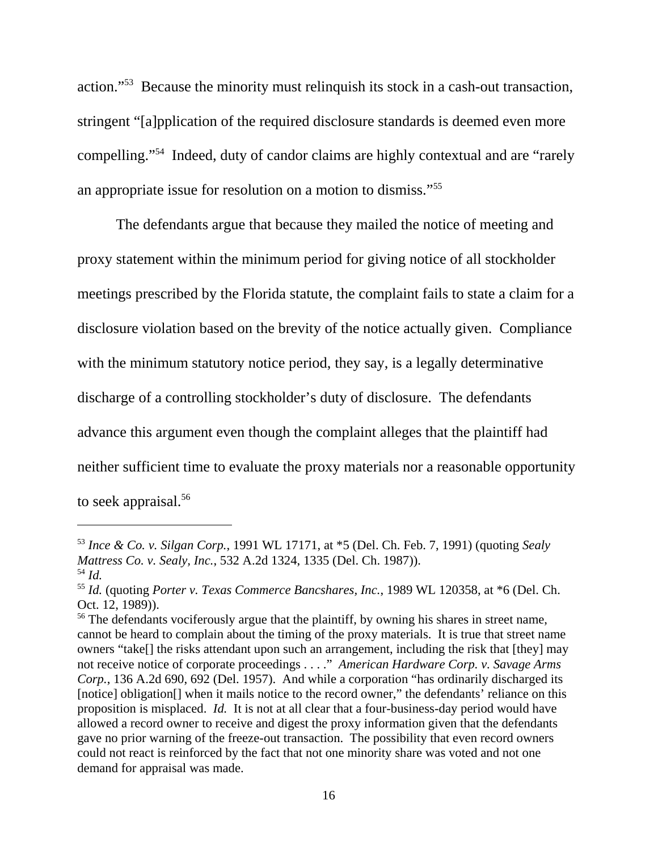action."53 Because the minority must relinquish its stock in a cash-out transaction, stringent "[a]pplication of the required disclosure standards is deemed even more compelling."54 Indeed, duty of candor claims are highly contextual and are "rarely an appropriate issue for resolution on a motion to dismiss."55

The defendants argue that because they mailed the notice of meeting and proxy statement within the minimum period for giving notice of all stockholder meetings prescribed by the Florida statute, the complaint fails to state a claim for a disclosure violation based on the brevity of the notice actually given. Compliance with the minimum statutory notice period, they say, is a legally determinative discharge of a controlling stockholder's duty of disclosure. The defendants advance this argument even though the complaint alleges that the plaintiff had neither sufficient time to evaluate the proxy materials nor a reasonable opportunity to seek appraisal.<sup>56</sup>

<sup>53</sup> *Ince & Co. v. Silgan Corp.*, 1991 WL 17171, at \*5 (Del. Ch. Feb. 7, 1991) (quoting *Sealy Mattress Co. v. Sealy, Inc.*, 532 A.2d 1324, 1335 (Del. Ch. 1987)). <sup>54</sup> *Id.*

<sup>55</sup> *Id.* (quoting *Porter v. Texas Commerce Bancshares, Inc.*, 1989 WL 120358, at \*6 (Del. Ch. Oct. 12, 1989)).

<sup>&</sup>lt;sup>56</sup> The defendants vociferously argue that the plaintiff, by owning his shares in street name, cannot be heard to complain about the timing of the proxy materials. It is true that street name owners "take[] the risks attendant upon such an arrangement, including the risk that [they] may not receive notice of corporate proceedings . . . ." *American Hardware Corp. v. Savage Arms Corp.*, 136 A.2d 690, 692 (Del. 1957). And while a corporation "has ordinarily discharged its [notice] obligation<sup>[]</sup> when it mails notice to the record owner," the defendants' reliance on this proposition is misplaced. *Id.* It is not at all clear that a four-business-day period would have allowed a record owner to receive and digest the proxy information given that the defendants gave no prior warning of the freeze-out transaction. The possibility that even record owners could not react is reinforced by the fact that not one minority share was voted and not one demand for appraisal was made.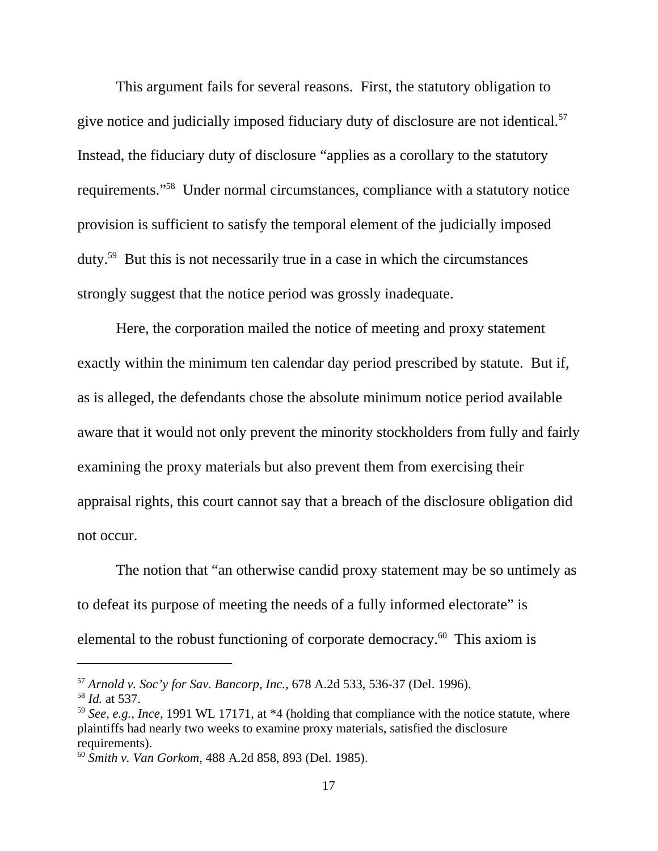This argument fails for several reasons. First, the statutory obligation to give notice and judicially imposed fiduciary duty of disclosure are not identical.<sup>57</sup> Instead, the fiduciary duty of disclosure "applies as a corollary to the statutory requirements."58 Under normal circumstances, compliance with a statutory notice provision is sufficient to satisfy the temporal element of the judicially imposed duty.59 But this is not necessarily true in a case in which the circumstances strongly suggest that the notice period was grossly inadequate.

Here, the corporation mailed the notice of meeting and proxy statement exactly within the minimum ten calendar day period prescribed by statute. But if, as is alleged, the defendants chose the absolute minimum notice period available aware that it would not only prevent the minority stockholders from fully and fairly examining the proxy materials but also prevent them from exercising their appraisal rights, this court cannot say that a breach of the disclosure obligation did not occur.

The notion that "an otherwise candid proxy statement may be so untimely as to defeat its purpose of meeting the needs of a fully informed electorate" is elemental to the robust functioning of corporate democracy.<sup>60</sup> This axiom is

<sup>57</sup> *Arnold v. Soc'y for Sav. Bancorp, Inc.*, 678 A.2d 533, 536-37 (Del. 1996).

<sup>58</sup> *Id.* at 537.

<sup>59</sup> *See, e.g.*, *Ince*, 1991 WL 17171, at \*4 (holding that compliance with the notice statute, where plaintiffs had nearly two weeks to examine proxy materials, satisfied the disclosure requirements).

<sup>60</sup> *Smith v. Van Gorkom*, 488 A.2d 858, 893 (Del. 1985).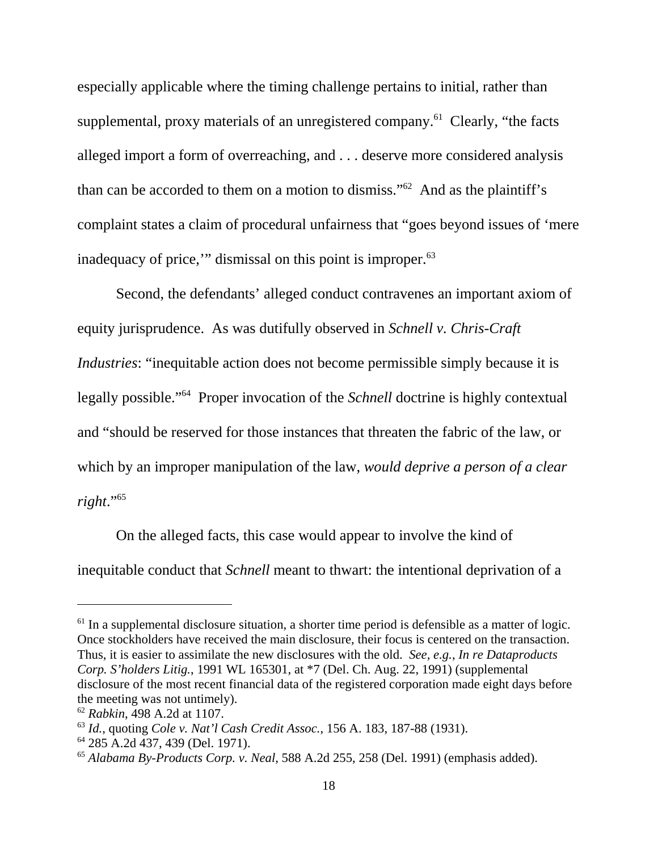especially applicable where the timing challenge pertains to initial, rather than supplemental, proxy materials of an unregistered company.<sup>61</sup> Clearly, "the facts" alleged import a form of overreaching, and . . . deserve more considered analysis than can be accorded to them on a motion to dismiss." $62$  And as the plaintiff's complaint states a claim of procedural unfairness that "goes beyond issues of 'mere inadequacy of price," dismissal on this point is improper.<sup>63</sup>

Second, the defendants' alleged conduct contravenes an important axiom of equity jurisprudence. As was dutifully observed in *Schnell v. Chris-Craft Industries*: "inequitable action does not become permissible simply because it is legally possible."64 Proper invocation of the *Schnell* doctrine is highly contextual and "should be reserved for those instances that threaten the fabric of the law, or which by an improper manipulation of the law, *would deprive a person of a clear right*."65

On the alleged facts, this case would appear to involve the kind of inequitable conduct that *Schnell* meant to thwart: the intentional deprivation of a

 $<sup>61</sup>$  In a supplemental disclosure situation, a shorter time period is defensible as a matter of logic.</sup> Once stockholders have received the main disclosure, their focus is centered on the transaction. Thus, it is easier to assimilate the new disclosures with the old. *See, e.g.*, *In re Dataproducts Corp. S'holders Litig.*, 1991 WL 165301, at \*7 (Del. Ch. Aug. 22, 1991) (supplemental disclosure of the most recent financial data of the registered corporation made eight days before the meeting was not untimely).

<sup>62</sup> *Rabkin*, 498 A.2d at 1107.

<sup>63</sup> *Id.*, quoting *Cole v. Nat'l Cash Credit Assoc.*, 156 A. 183, 187-88 (1931).

<sup>64 285</sup> A.2d 437, 439 (Del. 1971).

<sup>65</sup> *Alabama By-Products Corp. v. Neal*, 588 A.2d 255, 258 (Del. 1991) (emphasis added).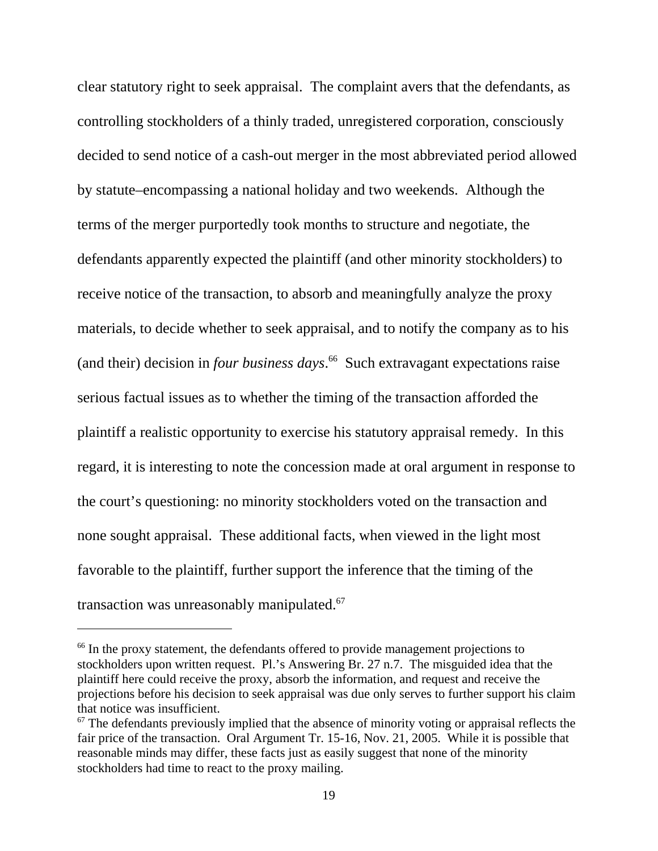clear statutory right to seek appraisal. The complaint avers that the defendants, as controlling stockholders of a thinly traded, unregistered corporation, consciously decided to send notice of a cash-out merger in the most abbreviated period allowed by statute–encompassing a national holiday and two weekends. Although the terms of the merger purportedly took months to structure and negotiate, the defendants apparently expected the plaintiff (and other minority stockholders) to receive notice of the transaction, to absorb and meaningfully analyze the proxy materials, to decide whether to seek appraisal, and to notify the company as to his (and their) decision in *four business days*. 66 Such extravagant expectations raise serious factual issues as to whether the timing of the transaction afforded the plaintiff a realistic opportunity to exercise his statutory appraisal remedy. In this regard, it is interesting to note the concession made at oral argument in response to the court's questioning: no minority stockholders voted on the transaction and none sought appraisal. These additional facts, when viewed in the light most favorable to the plaintiff, further support the inference that the timing of the transaction was unreasonably manipulated.<sup>67</sup>

<sup>&</sup>lt;sup>66</sup> In the proxy statement, the defendants offered to provide management projections to stockholders upon written request. Pl.'s Answering Br. 27 n.7. The misguided idea that the plaintiff here could receive the proxy, absorb the information, and request and receive the projections before his decision to seek appraisal was due only serves to further support his claim that notice was insufficient.

 $67$  The defendants previously implied that the absence of minority voting or appraisal reflects the fair price of the transaction. Oral Argument Tr. 15-16, Nov. 21, 2005. While it is possible that reasonable minds may differ, these facts just as easily suggest that none of the minority stockholders had time to react to the proxy mailing.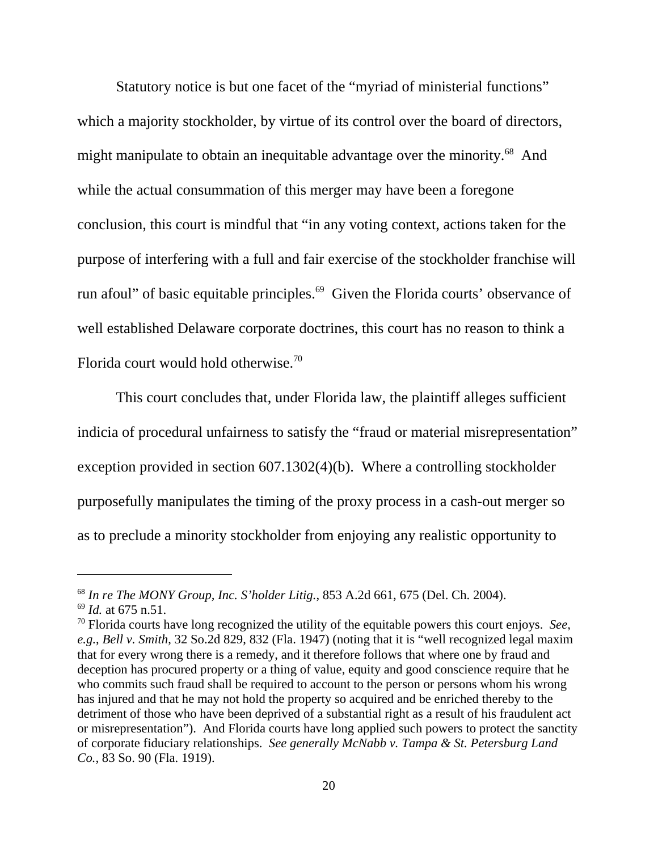Statutory notice is but one facet of the "myriad of ministerial functions" which a majority stockholder, by virtue of its control over the board of directors, might manipulate to obtain an inequitable advantage over the minority.<sup>68</sup> And while the actual consummation of this merger may have been a foregone conclusion, this court is mindful that "in any voting context, actions taken for the purpose of interfering with a full and fair exercise of the stockholder franchise will run afoul" of basic equitable principles.<sup>69</sup> Given the Florida courts' observance of well established Delaware corporate doctrines, this court has no reason to think a Florida court would hold otherwise.<sup>70</sup>

This court concludes that, under Florida law, the plaintiff alleges sufficient indicia of procedural unfairness to satisfy the "fraud or material misrepresentation" exception provided in section 607.1302(4)(b). Where a controlling stockholder purposefully manipulates the timing of the proxy process in a cash-out merger so as to preclude a minority stockholder from enjoying any realistic opportunity to

<sup>68</sup> *In re The MONY Group, Inc. S'holder Litig.*, 853 A.2d 661, 675 (Del. Ch. 2004). <sup>69</sup> *Id.* at 675 n.51.

<sup>70</sup> Florida courts have long recognized the utility of the equitable powers this court enjoys. *See, e.g.*, *Bell v. Smith*, 32 So.2d 829, 832 (Fla. 1947) (noting that it is "well recognized legal maxim that for every wrong there is a remedy, and it therefore follows that where one by fraud and deception has procured property or a thing of value, equity and good conscience require that he who commits such fraud shall be required to account to the person or persons whom his wrong has injured and that he may not hold the property so acquired and be enriched thereby to the detriment of those who have been deprived of a substantial right as a result of his fraudulent act or misrepresentation"). And Florida courts have long applied such powers to protect the sanctity of corporate fiduciary relationships. *See generally McNabb v. Tampa & St. Petersburg Land Co.*, 83 So. 90 (Fla. 1919).